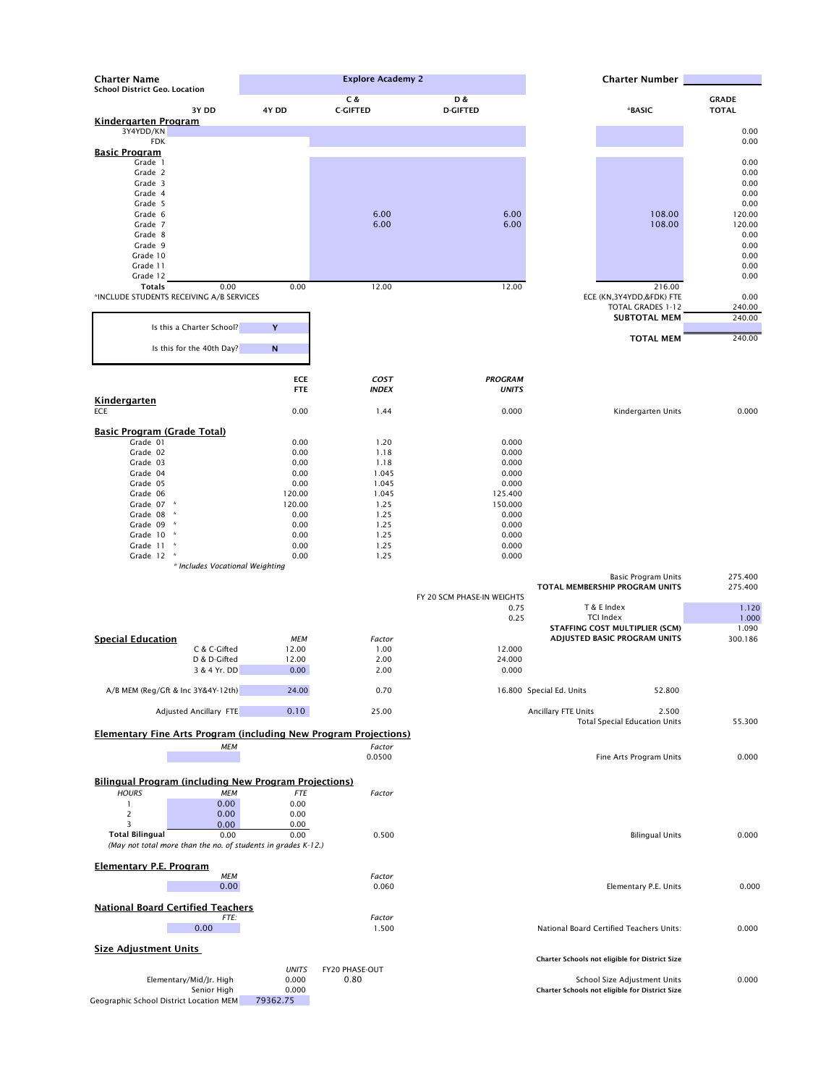| <b>Charter Name</b>                                                     | <b>Explore Academy 2</b> |                             |                            | <b>Charter Number</b>                |              |
|-------------------------------------------------------------------------|--------------------------|-----------------------------|----------------------------|--------------------------------------|--------------|
| <b>School District Geo. Location</b>                                    |                          | C &                         | D &                        |                                      | <b>GRADE</b> |
| 3Y DD                                                                   | 4Y DD                    | <b>C-GIFTED</b>             | <b>D-GIFTED</b>            | *BASIC                               | <b>TOTAL</b> |
| <b>Kindergarten Program</b>                                             |                          |                             |                            |                                      |              |
| 3Y4YDD/KN                                                               |                          |                             |                            |                                      | 0.00         |
| <b>FDK</b>                                                              |                          |                             |                            |                                      | 0.00         |
| <b>Basic Program</b>                                                    |                          |                             |                            |                                      |              |
| Grade 1                                                                 |                          |                             |                            |                                      | 0.00         |
| Grade 2                                                                 |                          |                             |                            |                                      | 0.00         |
| Grade 3                                                                 |                          |                             |                            |                                      | 0.00         |
| Grade 4                                                                 |                          |                             |                            |                                      | 0.00         |
| Grade 5                                                                 |                          |                             |                            |                                      | 0.00         |
| Grade 6                                                                 |                          | 6.00                        | 6.00                       | 108.00                               | 120.00       |
| Grade 7                                                                 |                          | 6.00                        | 6.00                       | 108.00                               | 120.00       |
| Grade 8                                                                 |                          |                             |                            |                                      | 0.00         |
| Grade 9                                                                 |                          |                             |                            |                                      | 0.00         |
| Grade 10                                                                |                          |                             |                            |                                      | 0.00         |
| Grade 11                                                                |                          |                             |                            |                                      | 0.00         |
| Grade 12                                                                |                          |                             |                            |                                      | 0.00         |
| <b>Totals</b><br>0.00                                                   | 0.00                     | 12.00                       | 12.00                      | 216.00                               |              |
| *INCLUDE STUDENTS RECEIVING A/B SERVICES                                |                          |                             |                            | ECE (KN,3Y4YDD,&FDK) FTE             | 0.00         |
|                                                                         |                          |                             |                            | <b>TOTAL GRADES 1-12</b>             | 240.00       |
|                                                                         |                          |                             |                            | <b>SUBTOTAL MEM</b>                  | 240.00       |
| Is this a Charter School?                                               | Y                        |                             |                            |                                      |              |
|                                                                         |                          |                             |                            | <b>TOTAL MEM</b>                     | 240.00       |
| Is this for the 40th Day?                                               | ${\bf N}$                |                             |                            |                                      |              |
|                                                                         |                          |                             |                            |                                      |              |
|                                                                         |                          |                             |                            |                                      |              |
|                                                                         | <b>ECE</b><br><b>FTE</b> | <b>COST</b><br><b>INDEX</b> | <b>PROGRAM</b>             |                                      |              |
|                                                                         |                          |                             | <b>UNITS</b>               |                                      |              |
| <b>Kindergarten</b>                                                     |                          |                             |                            |                                      |              |
| ECE                                                                     | 0.00                     | 1.44                        | 0.000                      | Kindergarten Units                   | 0.000        |
| <b>Basic Program (Grade Total)</b>                                      |                          |                             |                            |                                      |              |
| Grade 01                                                                | 0.00                     | 1.20                        | 0.000                      |                                      |              |
| Grade 02                                                                | 0.00                     | 1.18                        | 0.000                      |                                      |              |
| Grade 03                                                                | 0.00                     | 1.18                        | 0.000                      |                                      |              |
| Grade 04                                                                | 0.00                     | 1.045                       | 0.000                      |                                      |              |
| Grade 05                                                                | 0.00                     | 1.045                       | 0.000                      |                                      |              |
| Grade 06                                                                | 120.00                   | 1.045                       | 125.400                    |                                      |              |
| Grade 07 *                                                              | 120.00                   | 1.25                        | 150.000                    |                                      |              |
| Grade 08 *                                                              | 0.00                     | 1.25                        | 0.000                      |                                      |              |
| Grade 09 *                                                              | 0.00                     | 1.25                        | 0.000                      |                                      |              |
| Grade 10 *                                                              | 0.00                     | 1.25                        | 0.000                      |                                      |              |
| Grade 11 *                                                              | 0.00                     | 1.25                        | 0.000                      |                                      |              |
| Grade 12<br>$\mathcal{A}$                                               | 0.00                     | 1.25                        | 0.000                      |                                      |              |
| * Includes Vocational Weighting                                         |                          |                             |                            |                                      |              |
|                                                                         |                          |                             |                            | <b>Basic Program Units</b>           | 275.400      |
|                                                                         |                          |                             |                            | TOTAL MEMBERSHIP PROGRAM UNITS       | 275.400      |
|                                                                         |                          |                             | FY 20 SCM PHASE-IN WEIGHTS |                                      |              |
|                                                                         |                          |                             | 0.75                       | T & E Index                          | 1.120        |
|                                                                         |                          |                             | 0.25                       | <b>TCI Index</b>                     | 1.000        |
|                                                                         |                          |                             |                            | STAFFING COST MULTIPLIER (SCM)       | 1.090        |
| <b>Special Education</b>                                                | MEM                      | Factor                      |                            | ADJUSTED BASIC PROGRAM UNITS         | 300.186      |
| C & C-Gifted                                                            | 12.00                    | 1.00                        | 12.000                     |                                      |              |
| D & D-Gifted                                                            | 12.00                    | 2.00                        | 24.000                     |                                      |              |
| 3 & 4 Yr. DD                                                            | 0.00                     | 2.00                        | 0.000                      |                                      |              |
|                                                                         |                          |                             |                            |                                      |              |
| A/B MEM (Reg/Gft & Inc 3Y&4Y-12th)                                      | 24.00                    | 0.70                        |                            | 16.800 Special Ed. Units<br>52.800   |              |
| Adjusted Ancillary FTE                                                  | 0.10                     | 25.00                       |                            | <b>Ancillary FTE Units</b><br>2.500  |              |
|                                                                         |                          |                             |                            | <b>Total Special Education Units</b> | 55.300       |
| <b>Elementary Fine Arts Program (including New Program Projections)</b> |                          |                             |                            |                                      |              |
|                                                                         |                          | Factor                      |                            |                                      |              |
| <b>MEM</b>                                                              |                          | 0.0500                      |                            | Fine Arts Program Units              | 0.000        |
|                                                                         |                          |                             |                            |                                      |              |
|                                                                         |                          |                             |                            |                                      |              |
| <b>Bilingual Program (including New Program Projections)</b>            |                          |                             |                            |                                      |              |
| <b>HOURS</b><br><b>MEM</b>                                              | ${\it FTE}$              | Factor                      |                            |                                      |              |
| 0.00                                                                    | 0.00                     |                             |                            |                                      |              |

|   | v.vv                 |
|---|----------------------|
| ∽ | 0.00                 |
| - | $\sim$ $\sim$ $\sim$ |

 $0.00$ 

| 3                                                             | 0.00     | 0.00                                  |        |                                                 |       |
|---------------------------------------------------------------|----------|---------------------------------------|--------|-------------------------------------------------|-------|
| <b>Total Bilingual</b>                                        | 0.00     | 0.00                                  | 0.500  | <b>Bilingual Units</b>                          | 0.000 |
| (May not total more than the no. of students in grades K-12.) |          |                                       |        |                                                 |       |
| Elementary P.E. Program                                       |          |                                       |        |                                                 |       |
|                                                               | МЕМ      |                                       | Factor |                                                 |       |
|                                                               | 0.00     |                                       | 0.060  | Elementary P.E. Units                           | 0.000 |
|                                                               |          |                                       |        |                                                 |       |
| <b>National Board Certified Teachers</b>                      |          |                                       |        |                                                 |       |
|                                                               | FTE:     |                                       | Factor |                                                 |       |
| 0.00                                                          |          |                                       | 1.500  | <b>National Board Certified Teachers Units:</b> | 0.000 |
|                                                               |          |                                       |        |                                                 |       |
| <b>Size Adjustment Units</b>                                  |          |                                       |        |                                                 |       |
|                                                               |          |                                       |        | Charter Schools not eligible for District Size  |       |
|                                                               |          | <b>UNITS</b><br><b>FY20 PHASE-OUT</b> |        |                                                 |       |
| Elementary/Mid/Jr. High                                       |          | 0.80<br>0.000                         |        | School Size Adjustment Units                    | 0.000 |
| Senior High                                                   |          | 0.000                                 |        | Charter Schools not eligible for District Size  |       |
| Geographic School District Location MEM                       | 79362.75 |                                       |        |                                                 |       |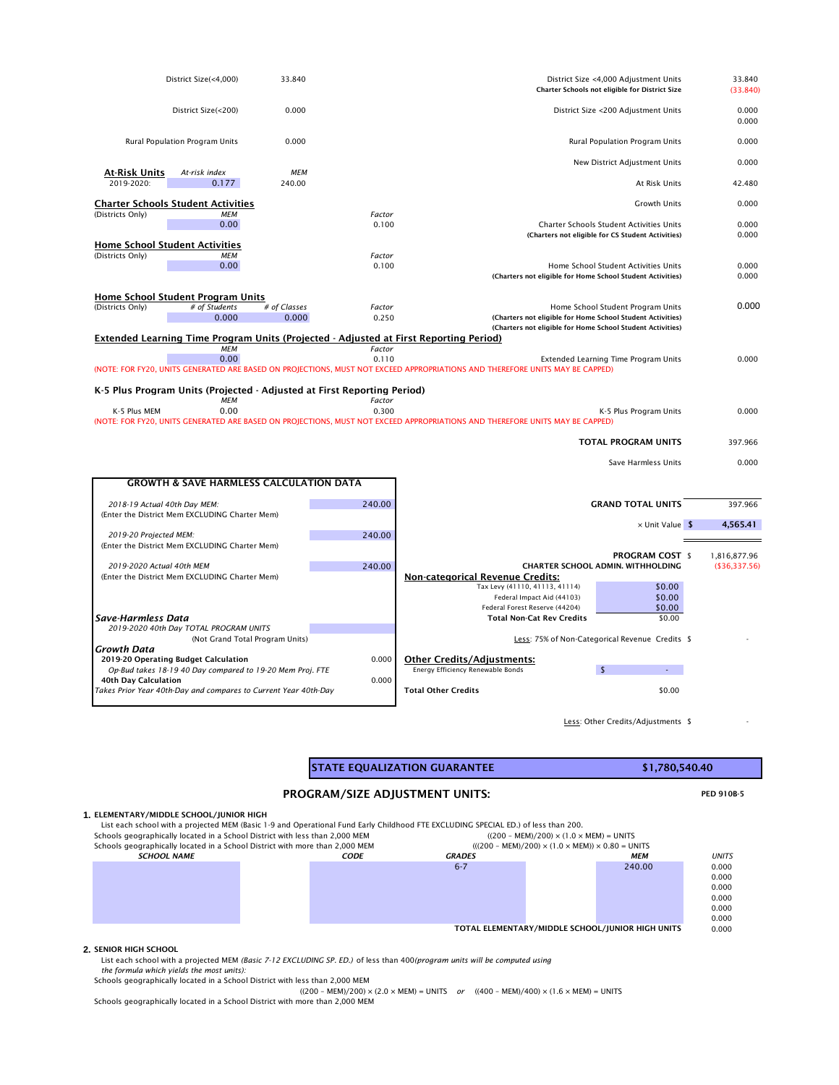| District Size(<4,000)                                                                        | 33.840                          |                 | District Size <4,000 Adjustment Units<br>Charter Schools not eligible for District Size                                                                              | 33.840<br>(33.840) |
|----------------------------------------------------------------------------------------------|---------------------------------|-----------------|----------------------------------------------------------------------------------------------------------------------------------------------------------------------|--------------------|
| District Size(<200)                                                                          | 0.000                           |                 | District Size <200 Adjustment Units                                                                                                                                  | 0.000<br>0.000     |
| Rural Population Program Units                                                               | 0.000                           |                 | Rural Population Program Units                                                                                                                                       | 0.000              |
|                                                                                              |                                 |                 | New District Adjustment Units                                                                                                                                        | 0.000              |
| <b>At-Risk Units</b><br>At-risk index<br>2019-2020:<br>0.177                                 | <b>MEM</b><br>240.00            |                 | At Risk Units                                                                                                                                                        | 42.480             |
| <b>Charter Schools Student Activities</b>                                                    |                                 |                 | <b>Growth Units</b>                                                                                                                                                  | 0.000              |
| (Districts Only)<br>МЕМ<br>0.00                                                              |                                 | Factor<br>0.100 | <b>Charter Schools Student Activities Units</b>                                                                                                                      |                    |
|                                                                                              |                                 |                 | (Charters not eligible for CS Student Activities)                                                                                                                    | 0.000<br>0.000     |
| <b>Home School Student Activities</b>                                                        |                                 |                 |                                                                                                                                                                      |                    |
| (Districts Only)<br><b>MEM</b><br>0.00                                                       |                                 | Factor<br>0.100 | Home School Student Activities Units                                                                                                                                 | 0.000              |
|                                                                                              |                                 |                 | (Charters not eligible for Home School Student Activities)                                                                                                           | 0.000              |
| Home School Student Program Units                                                            |                                 |                 |                                                                                                                                                                      |                    |
| (Districts Only)<br># of Students                                                            | # of Classes                    | Factor          | Home School Student Program Units                                                                                                                                    | 0.000              |
| 0.000                                                                                        | 0.000                           | 0.250           | (Charters not eligible for Home School Student Activities)                                                                                                           |                    |
| <b>Extended Learning Time Program Units (Projected - Adjusted at First Reporting Period)</b> |                                 |                 | (Charters not eligible for Home School Student Activities)                                                                                                           |                    |
| <b>MEM</b>                                                                                   |                                 | Factor          |                                                                                                                                                                      |                    |
| 0.00                                                                                         |                                 | 0.110           | Extended Learning Time Program Units<br>(NOTE: FOR FY20, UNITS GENERATED ARE BASED ON PROJECTIONS, MUST NOT EXCEED APPROPRIATIONS AND THEREFORE UNITS MAY BE CAPPED) | 0.000              |
|                                                                                              |                                 |                 |                                                                                                                                                                      |                    |
| K-5 Plus Program Units (Projected - Adjusted at First Reporting Period)                      |                                 |                 |                                                                                                                                                                      |                    |
| МЕМ<br>0.00<br>K-5 Plus MEM                                                                  |                                 | Factor<br>0.300 | K-5 Plus Program Units                                                                                                                                               | 0.000              |
|                                                                                              |                                 |                 | (NOTE: FOR FY20, UNITS GENERATED ARE BASED ON PROJECTIONS, MUST NOT EXCEED APPROPRIATIONS AND THEREFORE UNITS MAY BE CAPPED)                                         |                    |
|                                                                                              |                                 |                 | <b>TOTAL PROGRAM UNITS</b>                                                                                                                                           | 397.966            |
|                                                                                              |                                 |                 | Save Harmless Units                                                                                                                                                  | 0.000              |
| <b>GROWTH &amp; SAVE HARMLESS CALCULATION DATA</b>                                           |                                 |                 |                                                                                                                                                                      |                    |
| 2018-19 Actual 40th Day MEM:                                                                 |                                 | 240.00          | <b>GRAND TOTAL UNITS</b>                                                                                                                                             | 397.966            |
| (Enter the District Mem EXCLUDING Charter Mem)                                               |                                 |                 |                                                                                                                                                                      |                    |
|                                                                                              |                                 |                 | × Unit Value \$                                                                                                                                                      | 4,565.41           |
| 2019-20 Projected MEM:<br>(Enter the District Mem EXCLUDING Charter Mem)                     |                                 | 240.00          |                                                                                                                                                                      |                    |
|                                                                                              |                                 |                 | <b>PROGRAM COST \$</b>                                                                                                                                               | 1,816,877.96       |
| 2019-2020 Actual 40th MEM                                                                    |                                 | 240.00          | <b>CHARTER SCHOOL ADMIN. WITHHOLDING</b>                                                                                                                             | (\$36,337.56)      |
| (Enter the District Mem EXCLUDING Charter Mem)                                               |                                 |                 | <b>Non-categorical Revenue Credits:</b><br>Tax Levy (41110, 41113, 41114)<br>\$0.00                                                                                  |                    |
|                                                                                              |                                 |                 | \$0.00<br>Federal Impact Aid (44103)                                                                                                                                 |                    |
|                                                                                              |                                 |                 | Federal Forest Reserve (44204)<br>\$0.00                                                                                                                             |                    |
| Save-Harmless Data                                                                           |                                 |                 | <b>Total Non-Cat Rev Credits</b><br>\$0.00                                                                                                                           |                    |
| 2019-2020 40th Day TOTAL PROGRAM UNITS                                                       | (Not Grand Total Program Units) |                 | Less: 75% of Non-Categorical Revenue Credits \$                                                                                                                      |                    |
| <b>Growth Data</b>                                                                           |                                 |                 |                                                                                                                                                                      |                    |
| 2019-20 Operating Budget Calculation                                                         |                                 | 0.000           | <b>Other Credits/Adjustments:</b>                                                                                                                                    |                    |
| Op-Bud takes 18-19 40 Day compared to 19-20 Mem Proj. FTE<br>40th Day Calculation            |                                 | 0.000           | Energy Efficiency Renewable Bonds<br>$\mathsf{\$}$                                                                                                                   |                    |
| Takes Prior Year 40th-Day and compares to Current Year 40th-Day                              |                                 |                 | <b>Total Other Credits</b><br>\$0.00                                                                                                                                 |                    |
|                                                                                              |                                 |                 |                                                                                                                                                                      |                    |
|                                                                                              |                                 |                 |                                                                                                                                                                      |                    |

STATE EQUALIZATION GUARANTEE **\$1,780,540.40** 

0.000

TOTAL ELEMENTARY/MIDDLE SCHOOL/JUNIOR HIGH UNITS 0.000

## PROGRAM/SIZE ADJUSTMENT UNITS: PED 910B-5

## **2.** SENIOR HIGH SCHOOL

| LIST CACH SCHOOL WITH A PHOJECTED MEM (DASIC T 3 AND OPERATIONAL FRIM LANY CHIMNOGR FTE EXCEDITING 31 LCIAL LD.) OF ICSS THAN ZOO.                           |  |             |                                                                                                                                               |  |        |              |
|--------------------------------------------------------------------------------------------------------------------------------------------------------------|--|-------------|-----------------------------------------------------------------------------------------------------------------------------------------------|--|--------|--------------|
| Schools geographically located in a School District with less than 2,000 MEM<br>Schools geographically located in a School District with more than 2,000 MEM |  |             | $((200 - MEM)/200) \times (1.0 \times MEM) = UNITS$<br>$(((200 - \text{MEM})/200) \times (1.0 \times \text{MEM})) \times 0.80 = \text{UNITS}$ |  |        |              |
|                                                                                                                                                              |  |             |                                                                                                                                               |  |        |              |
| <b>SCHOOL NAME</b>                                                                                                                                           |  | <i>CODE</i> | <b>GRADES</b>                                                                                                                                 |  | МЕМ    | <b>UNITS</b> |
|                                                                                                                                                              |  |             | $6 - 7$                                                                                                                                       |  | 240.00 | 0.000        |
|                                                                                                                                                              |  |             |                                                                                                                                               |  |        | 0.000        |
|                                                                                                                                                              |  |             |                                                                                                                                               |  |        | 0.000        |
|                                                                                                                                                              |  |             |                                                                                                                                               |  |        | 0.000        |
|                                                                                                                                                              |  |             |                                                                                                                                               |  |        | 0.000        |

List each school with a projected MEM *(Basic 7-12 EXCLUDING SP. ED.)* of less than 400*(program units will be computed using*

*the formula which yields the most units):* 

Schools geographically located in a School District with less than 2,000 MEM

 $((200 - MEM)/200) \times (2.0 \times MEM) = UNITS$  *or*  $((400 - MEM)/400) \times (1.6 \times MEM) = UNITS$ 

Schools geographically located in a School District with more than 2,000 MEM